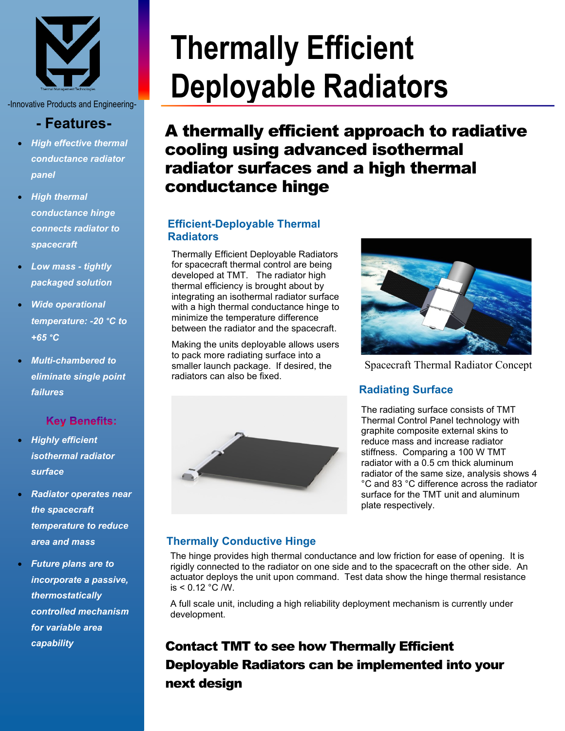

-Innovative Products and Engineering-

## **- Features-**

- *High effective thermal conductance radiator panel*
- *High thermal conductance hinge connects radiator to spacecraft*
- *Low mass - tightly packaged solution*
- *Wide operational temperature: -20 °C to +65 °C*
- *Multi-chambered to eliminate single point failures*

## **Key Benefits:**

- *Highly efficient isothermal radiator surface*
- *Radiator operates near the spacecraft temperature to reduce area and mass*
- *Future plans are to incorporate a passive, thermostatically controlled mechanism for variable area capability*

# **Thermally Efficient Deployable Radiators**

**(coming soon)** A thermally efficient approach to radiative cooling using advanced isothermal radiator surfaces and a high thermal conductance hinge

## **Efficient-Deployable Thermal Radiators**

Thermally Efficient Deployable Radiators for spacecraft thermal control are being developed at TMT. The radiator high thermal efficiency is brought about by integrating an isothermal radiator surface with a high thermal conductance hinge to minimize the temperature difference between the radiator and the spacecraft.

Making the units deployable allows users to pack more radiating surface into a smaller launch package. If desired, the radiators can also be fixed.



Spacecraft Thermal Radiator Concept

## **Radiating Surface**



The radiating surface consists of TMT Thermal Control Panel technology with graphite composite external skins to reduce mass and increase radiator stiffness. Comparing a 100 W TMT radiator with a 0.5 cm thick aluminum radiator of the same size, analysis shows 4 °C and 83 °C difference across the radiator surface for the TMT unit and aluminum plate respectively.

## **Thermally Conductive Hinge**

The hinge provides high thermal conductance and low friction for ease of opening. It is rigidly connected to the radiator on one side and to the spacecraft on the other side. An actuator deploys the unit upon command. Test data show the hinge thermal resistance is  $< 0.12 °C/W$ .

A full scale unit, including a high reliability deployment mechanism is currently under development.

# Contact TMT to see how Thermally Efficient Deployable Radiators can be implemented into your next design